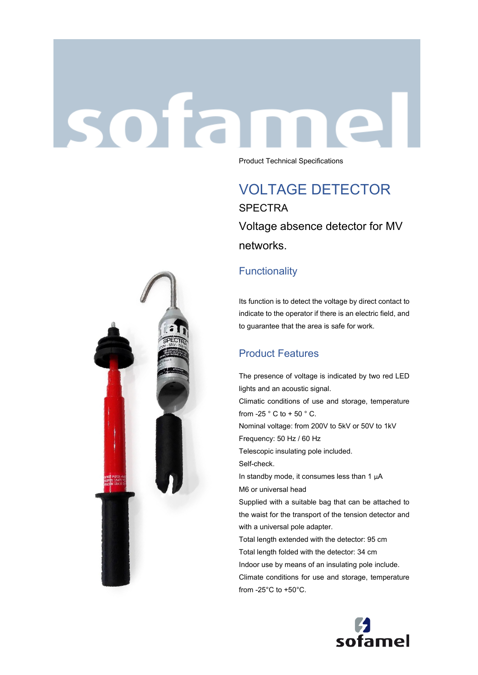# sotan Product Technical Specifications

VOLTAGE DETECTOR **SPECTRA** Voltage absence detector for MV networks.

#### **Functionality**

Its function is to detect the voltage by direct contact to indicate to the operator if there is an electric field, and to guarantee that the area is safe for work.

### Product Features

The presence of voltage is indicated by two red LED lights and an acoustic signal. Climatic conditions of use and storage, temperature from -25  $\degree$  C to + 50  $\degree$  C. Nominal voltage: from 200V to 5kV or 50V to 1kV Frequency: 50 Hz / 60 Hz Telescopic insulating pole included. Self-check. In standby mode, it consumes less than 1  $\mu$ A M6 or universal head Supplied with a suitable bag that can be attached to the waist for the transport of the tension detector and with a universal pole adapter. Total length extended with the detector: 95 cm Total length folded with the detector: 34 cm Indoor use by means of an insulating pole include. Climate conditions for use and storage, temperature from -25°C to +50°C.